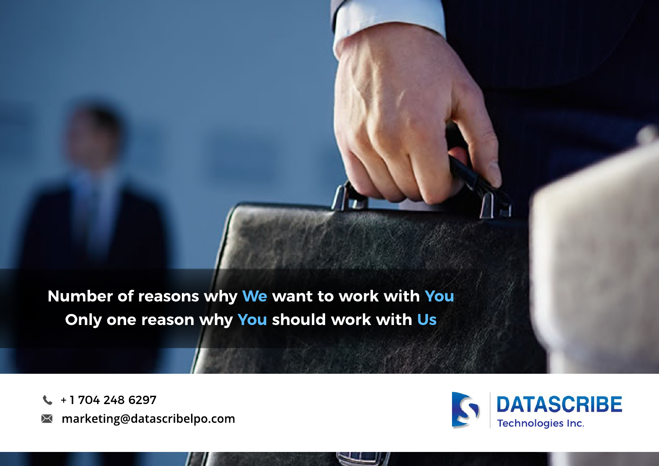**Number of reasons why We want to work with You Only one reason why You should work with Us**

+ 1 704 248 6297  $\mathbf{C}$ 

**marketing@datascribelpo.com** $\Join$ 

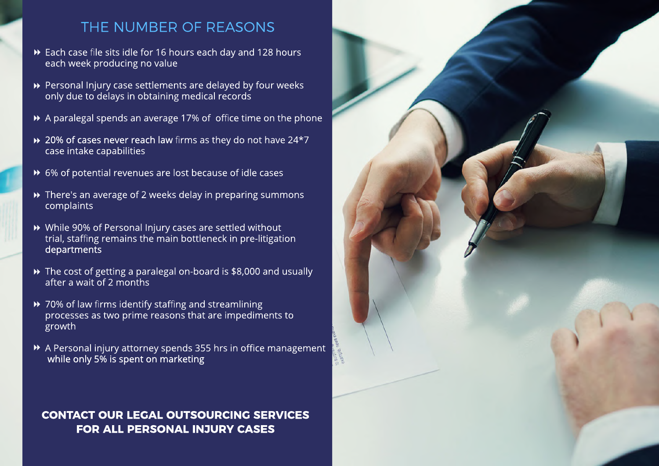# THE NUMBER OF REASONS

- Each case file sits idle for 16 hours each day and 128 hours each week producing no value
- Personal Injury case settlements are delayed by four weeks only due to delays in obtaining medical records
- A paralegal spends an average 17% of office time on the phone
- 20% of cases never reach law firms as they do not have 24\*7 case intake capabilities
- 6% of potential revenues are lost because of idle cases
- There's an average of 2 weeks delay in preparing summons complaints
- While 90% of Personal Injury cases are settled without trial, staffing remains the main bottleneck in pre-litigation departments
- The cost of getting a paralegal on-board is \$8,000 and usually after a wait of 2 months
- ▶ 70% of law firms identify staffing and streamlining processes as two prime reasons that are impediments to growth
- A Personal injury attorney spends 355 hrs in office management while only 5% is spent on marketing

### **CONTACT OUR LEGAL OUTSOURCING SERVICES FOR ALL PERSONAL INJURY CASES**

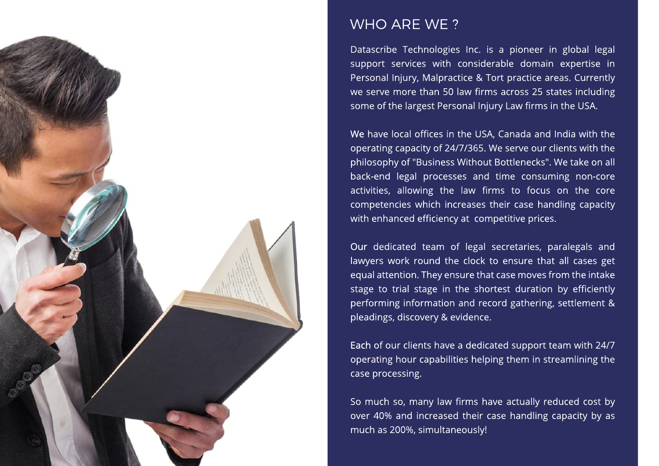

### WHO ARE WE ?

Datascribe Technologies Inc. is a pioneer in global legal support services with considerable domain expertise in Personal Injury, Malpractice & Tort practice areas. Currently we serve more than 50 law firms across 25 states including some of the largest Personal Injury Law firms in the USA.

We have local offices in the USA, Canada and India with the operating capacity of 24/7/365. We serve our clients with the philosophy of "Business Without Bottlenecks". We take on all back-end legal processes and time consuming non-core activities, allowing the law firms to focus on the core competencies which increases their case handling capacity with enhanced efficiency at competitive prices.

Our dedicated team of legal secretaries, paralegals and lawyers work round the clock to ensure that all cases get equal attention. They ensure that case moves from the intake stage to trial stage in the shortest duration by efficiently performing information and record gathering, settlement & pleadings, discovery & evidence.

Each of our clients have a dedicated support team with 24/7 operating hour capabilities helping them in streamlining the case processing.

So much so, many law firms have actually reduced cost by over 40% and increased their case handling capacity by as much as 200%, simultaneously!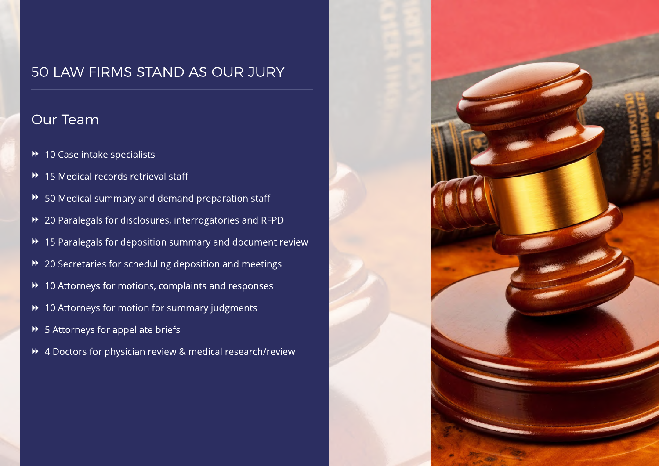# 50 LAW FIRMS STAND AS OUR JURY

## Our Team

- ◆ 10 Case intake specialists
- ▶ 15 Medical records retrieval staff
- 50 Medical summary and demand preparation staff
- 20 Paralegals for disclosures, interrogatories and RFPD
- 15 Paralegals for deposition summary and document review
- 20 Secretaries for scheduling deposition and meetings
- 10 Attorneys for motions, complaints and responses
- 10 Attorneys for motion for summary judgments
- ◆ 5 Attorneys for appellate briefs
- 4 Doctors for physician review & medical research/review

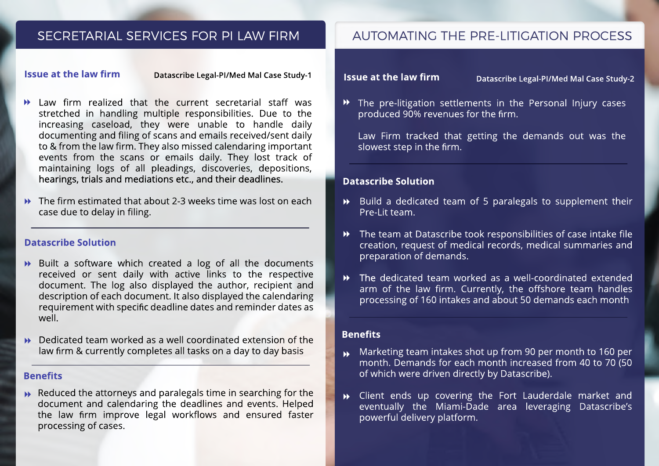### SECRETARIAL SERVICES FOR PI LAW FIRM

#### **Issue at the law firm**

**Datascribe Legal-PI/Med Mal Case Study-1**

- $\rightarrow$  Law firm realized that the current secretarial staff was stretched in handling multiple responsibilities. Due to the increasing caseload, they were unable to handle daily documenting and filing of scans and emails received/sent daily to & from the law firm. They also missed calendaring important events from the scans or emails daily. They lost track of maintaining logs of all pleadings, discoveries, depositions, hearings, trials and mediations etc., and their deadlines.
- $\rightarrow$  The firm estimated that about 2-3 weeks time was lost on each case due to delay in filing.

#### **Datascribe Solution**

- Built a software which created a log of all the documents received or sent daily with active links to the respective document. The log also displayed the author, recipient and description of each document. It also displayed the calendaring requirement with specific deadline dates and reminder dates as well.
- $\rightarrow$  Dedicated team worked as a well coordinated extension of the law firm & currently completes all tasks on a day to day basis

#### **Benefits**

**▶** Reduced the attorneys and paralegals time in searching for the document and calendaring the deadlines and events. Helped the law firm improve legal workflows and ensured faster processing of cases.

### AUTOMATING THE PRE-LITIGATION PROCESS

#### **Issue at the law firm**

**Datascribe Legal-PI/Med Mal Case Study-2**

The pre-litigation settlements in the Personal Injury cases produced 90% revenues for the firm.

Law Firm tracked that getting the demands out was the slowest step in the firm.

### **Datascribe Solution**

- Build a dedicated team of 5 paralegals to supplement their Pre-Lit team.
- The team at Datascribe took responsibilities of case intake file creation, request of medical records, medical summaries and preparation of demands.  $\blacktriangleright\blacktriangleright$
- The dedicated team worked as a well-coordinated extended arm of the law firm. Currently, the offshore team handles processing of 160 intakes and about 50 demands each month  $\blacktriangleright$

#### **Benefits**

- $\blacktriangleright$ Marketing team intakes shot up from 90 per month to 160 per month. Demands for each month increased from 40 to 70 (50 of which were driven directly by Datascribe).
- $\mathbf{W}$ Client ends up covering the Fort Lauderdale market and eventually the Miami-Dade area leveraging Datascribe's powerful delivery platform.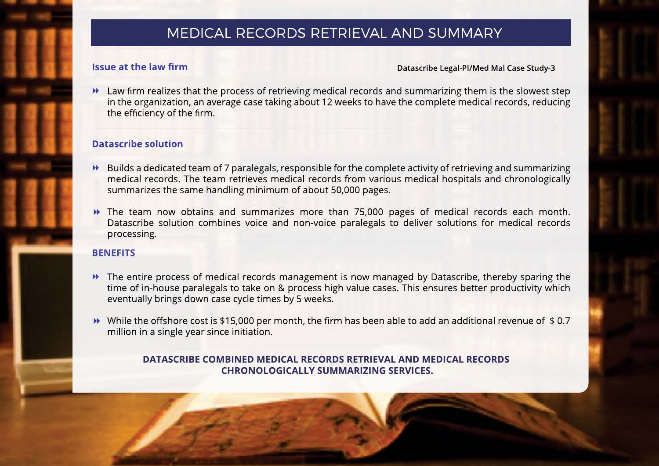### MEDICAL RECORDS RETRIEVAL AND SUMMARY

### **Issue at the law firm**

**Datascribe Legal-PI/Med Mal Case Study-3**

 $\blacktriangleright$  Law firm realizes that the process of retrieving medical records and summarizing them is the slowest step in the organization, an average case taking about 12 weeks to have the complete medical records, reducing the efficiency of the firm.

### **Datascribe solution**

- Builds a dedicated team of 7 paralegals, responsible for the complete activity of retrieving and summarizing medical records. The team retrieves medical records from various medical hospitals and chronologically summarizes the same handling minimum of about 50,000 pages.
- The team now obtains and summarizes more than 75,000 pages of medical records each month. Datascribe solution combines voice and non-voice paralegals to deliver solutions for medical records processing.

### **BENEFITS**

- **EXT** The entire process of medical records management is now managed by Datascribe, thereby sparing the time of in-house paralegals to take on & process high value cases. This ensures better productivity which eventually brings down case cycle times by 5 weeks.
- While the offshore cost is \$15,000 per month, the firm has been able to add an additional revenue of \$ 0.7 million in a single year since initiation.

### **DATASCRIBE COMBINED MEDICAL RECORDS RETRIEVAL AND MEDICAL RECORDS CHRONOLOGICALLY SUMMARIZING SERVICES.**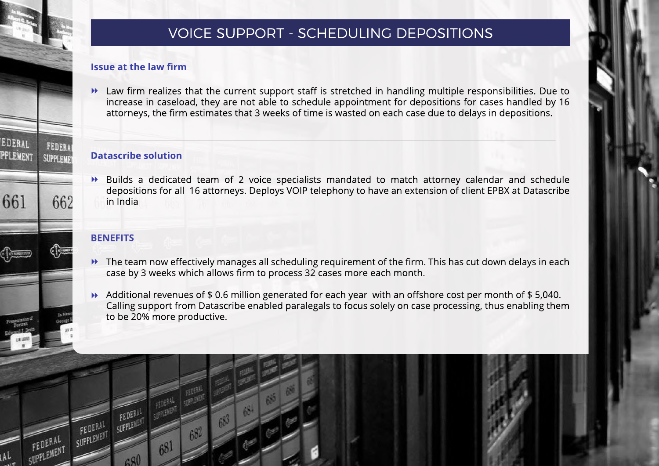## VOICE SUPPORT - SCHEDULING DEPOSITIONS

### **Issue at the law firm**

Law firm realizes that the current support staff is stretched in handling multiple responsibilities. Due to increase in caseload, they are not able to schedule appointment for depositions for cases handled by 16 attorneys, the firm estimates that 3 weeks of time is wasted on each case due to delays in depositions.  $\blacktriangleright$ 

### **Datascribe solution**

Builds a dedicated team of 2 voice specialists mandated to match attorney calendar and schedule depositions for all 16 attorneys. Deploys VOIP telephony to have an extension of client EPBX at Datascribe in India  $\blacktriangleright$ 

### **BENEFITS**

EDERAL

PPLEMENT

661

**FEDER** 

SUPPLEME

662

- **EXT** The team now effectively manages all scheduling requirement of the firm. This has cut down delays in each case by 3 weeks which allows firm to process 32 cases more each month.
- Additional revenues of \$ 0.6 million generated for each year with an offshore cost per month of \$ 5,040. Calling support from Datascribe enabled paralegals to focus solely on case processing, thus enabling them to be 20% more productive.